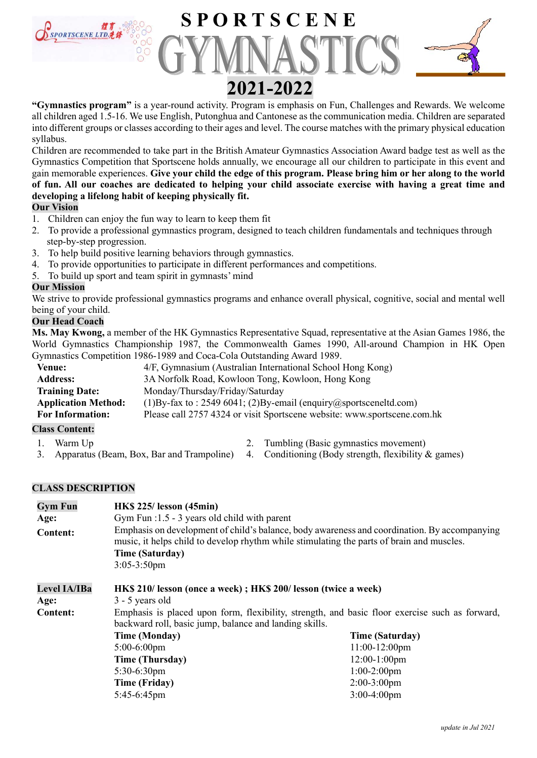

"Gymnastics program" is a year-round activity. Program is emphasis on Fun, Challenges and Rewards. We welcome all children aged 1.5-16. We use English, Putonghua and Cantonese as the communication media. Children are separated into different groups or classes according to their ages and level. The course matches with the primary physical education syllabus.

Children are recommended to take part in the British Amateur Gymnastics Association Award badge test as well as the Gymnastics Competition that Sportscene holds annually, we encourage all our children to participate in this event and gain memorable experiences. Give your child the edge of this program. Please bring him or her along to the world of fun. All our coaches are dedicated to helping your child associate exercise with having a great time and developing a lifelong habit of keeping physically fit.

### Our Vision

- 1. Children can enjoy the fun way to learn to keep them fit
- 2. To provide a professional gymnastics program, designed to teach children fundamentals and techniques through step-by-step progression.
- 3. To help build positive learning behaviors through gymnastics.
- 4. To provide opportunities to participate in different performances and competitions.
- 5. To build up sport and team spirit in gymnasts' mind

### Our Mission

We strive to provide professional gymnastics programs and enhance overall physical, cognitive, social and mental well being of your child.

### Our Head Coach

Ms. May Kwong, a member of the HK Gymnastics Representative Squad, representative at the Asian Games 1986, the World Gymnastics Championship 1987, the Commonwealth Games 1990, All-around Champion in HK Open Gymnastics Competition 1986-1989 and Coca-Cola Outstanding Award 1989.

| <b>Venue:</b>              | 4/F, Gymnasium (Australian International School Hong Kong)                    |
|----------------------------|-------------------------------------------------------------------------------|
| <b>Address:</b>            | 3A Norfolk Road, Kowloon Tong, Kowloon, Hong Kong                             |
| <b>Training Date:</b>      | Monday/Thursday/Friday/Saturday                                               |
| <b>Application Method:</b> | (1) By-fax to: 2549 6041; (2) By-email (enquiry $\omega$ sports cenelled.com) |
| <b>For Information:</b>    | Please call 2757 4324 or visit Sportscene website: www.sportscene.com.hk      |
|                            |                                                                               |

### Class Content:

- 
- 
- 1. Warm Up 2. Tumbling (Basic gymnastics movement)
- 3. Apparatus (Beam, Box, Bar and Trampoline) 4. Conditioning (Body strength, flexibility & games)

### CLASS DESCRIPTION

| <b>Gym Fun</b>      | <b>HK\$</b> 225/ lesson (45min)                                                                                                                                                                                                       |                        |  |  |
|---------------------|---------------------------------------------------------------------------------------------------------------------------------------------------------------------------------------------------------------------------------------|------------------------|--|--|
| Age:                | Gym Fun $:1.5 - 3$ years old child with parent                                                                                                                                                                                        |                        |  |  |
| <b>Content:</b>     | Emphasis on development of child's balance, body awareness and coordination. By accompanying<br>music, it helps child to develop rhythm while stimulating the parts of brain and muscles.<br><b>Time (Saturday)</b><br>$3:05-3:50$ pm |                        |  |  |
| <b>Level IA/IBa</b> | HK\$ 210/ lesson (once a week); HK\$ 200/ lesson (twice a week)                                                                                                                                                                       |                        |  |  |
| Age:                | $3 - 5$ years old                                                                                                                                                                                                                     |                        |  |  |
| <b>Content:</b>     | Emphasis is placed upon form, flexibility, strength, and basic floor exercise such as forward,<br>backward roll, basic jump, balance and landing skills.                                                                              |                        |  |  |
|                     | <b>Time (Monday)</b>                                                                                                                                                                                                                  | <b>Time (Saturday)</b> |  |  |
|                     | $5:00-6:00$ pm                                                                                                                                                                                                                        | $11:00-12:00$ pm       |  |  |
|                     | Time (Thursday)                                                                                                                                                                                                                       | $12:00-1:00$ pm        |  |  |
|                     | $5:30-6:30$ pm                                                                                                                                                                                                                        | $1:00-2:00$ pm         |  |  |
|                     | <b>Time (Friday)</b>                                                                                                                                                                                                                  | $2:00-3:00$ pm         |  |  |
|                     | 5:45-6:45pm                                                                                                                                                                                                                           | $3:00-4:00$ pm         |  |  |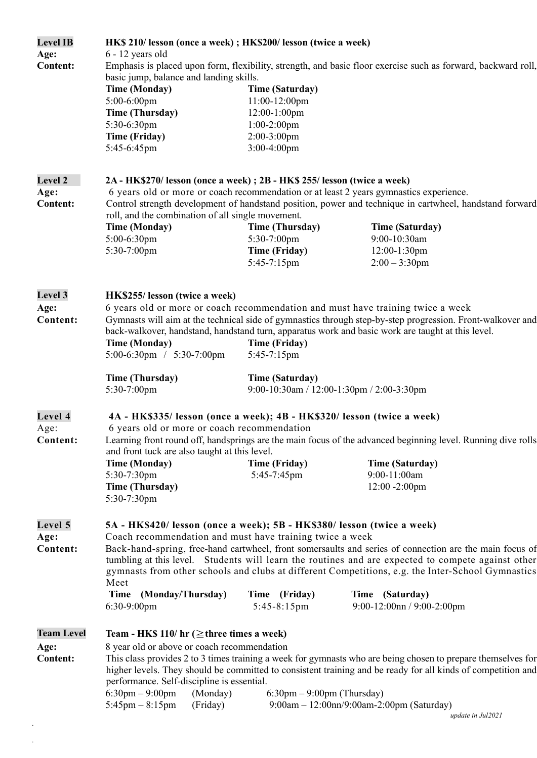| <b>Level IB</b><br>Age:<br><b>Content:</b>   | HK\$ 210/ lesson (once a week); HK\$200/ lesson (twice a week)<br>6 - 12 years old<br>basic jump, balance and landing skills.<br><b>Time (Monday)</b><br>5:00-6:00pm<br><b>Time (Thursday)</b><br>5:30-6:30pm<br><b>Time (Friday)</b><br>5:45-6:45pm                                                                                                                                                                                                                                                                                                                                             | <b>Time (Saturday)</b><br>$11:00-12:00$ pm<br>12:00-1:00pm<br>$1:00-2:00$ pm<br>$2:00-3:00$ pm<br>$3:00-4:00$ pm | Emphasis is placed upon form, flexibility, strength, and basic floor exercise such as forward, backward roll,                                                                                                                                                                                      |  |  |
|----------------------------------------------|--------------------------------------------------------------------------------------------------------------------------------------------------------------------------------------------------------------------------------------------------------------------------------------------------------------------------------------------------------------------------------------------------------------------------------------------------------------------------------------------------------------------------------------------------------------------------------------------------|------------------------------------------------------------------------------------------------------------------|----------------------------------------------------------------------------------------------------------------------------------------------------------------------------------------------------------------------------------------------------------------------------------------------------|--|--|
| <b>Level 2</b><br>Age:<br><b>Content:</b>    | 2A - HK\$270/ lesson (once a week) ; 2B - HK\$ 255/ lesson (twice a week)<br>6 years old or more or coach recommendation or at least 2 years gymnastics experience.<br>Control strength development of handstand position, power and technique in cartwheel, handstand forward                                                                                                                                                                                                                                                                                                                   |                                                                                                                  |                                                                                                                                                                                                                                                                                                    |  |  |
|                                              | roll, and the combination of all single movement.<br><b>Time (Monday)</b><br>5:00-6:30pm<br>5:30-7:00pm                                                                                                                                                                                                                                                                                                                                                                                                                                                                                          | <b>Time (Thursday)</b><br>5:30-7:00pm<br><b>Time (Friday)</b><br>5:45-7:15pm                                     | <b>Time (Saturday)</b><br>9:00-10:30am<br>12:00-1:30pm<br>$2:00 - 3:30$ pm                                                                                                                                                                                                                         |  |  |
| <b>Level 3</b><br>Age:<br>Content:           | HK\$255/ lesson (twice a week)<br><b>Time (Monday)</b><br>5:00-6:30pm / 5:30-7:00pm<br><b>Time (Thursday)</b>                                                                                                                                                                                                                                                                                                                                                                                                                                                                                    | <b>Time (Friday)</b><br>5:45-7:15pm<br><b>Time (Saturday)</b>                                                    | 6 years old or more or coach recommendation and must have training twice a week<br>Gymnasts will aim at the technical side of gymnastics through step-by-step progression. Front-walkover and<br>back-walkover, handstand, handstand turn, apparatus work and basic work are taught at this level. |  |  |
|                                              | 5:30-7:00pm                                                                                                                                                                                                                                                                                                                                                                                                                                                                                                                                                                                      |                                                                                                                  | 9:00-10:30am / 12:00-1:30pm / 2:00-3:30pm                                                                                                                                                                                                                                                          |  |  |
| Level 4<br>Age:<br>Content:                  | 4A - HK\$335/ lesson (once a week); 4B - HK\$320/ lesson (twice a week)<br>6 years old or more or coach recommendation<br>and front tuck are also taught at this level.<br><b>Time (Monday)</b><br>5:30-7:30pm<br><b>Time (Thursday)</b><br>5:30-7:30pm                                                                                                                                                                                                                                                                                                                                          | <b>Time (Friday)</b><br>5:45-7:45pm                                                                              | Learning front round off, handsprings are the main focus of the advanced beginning level. Running dive rolls<br><b>Time (Saturday)</b><br>9:00-11:00am<br>$12:00 - 2:00$ pm                                                                                                                        |  |  |
| Level 5<br>Age:<br>Content:                  | 5A - HK\$420/ lesson (once a week); 5B - HK\$380/ lesson (twice a week)<br>Coach recommendation and must have training twice a week<br>Back-hand-spring, free-hand cartwheel, front somersaults and series of connection are the main focus of<br>tumbling at this level. Students will learn the routines and are expected to compete against other<br>gymnasts from other schools and clubs at different Competitions, e.g. the Inter-School Gymnastics<br>Meet<br>Time (Monday/Thursday)<br>Time (Friday)<br>Time (Saturday)<br>6:30-9:00pm<br>$9:00-12:00nn / 9:00-2:00pm$<br>$5:45-8:15$ pm |                                                                                                                  |                                                                                                                                                                                                                                                                                                    |  |  |
| <b>Team Level</b><br>Age:<br><b>Content:</b> | Team - HK\$ 110/ hr ( $\ge$ three times a week)<br>8 year old or above or coach recommendation<br>performance. Self-discipline is essential.<br>$6:30 \text{pm} - 9:00 \text{pm}$<br>(Monday)<br>$5:45$ pm $-8:15$ pm<br>(Friday)                                                                                                                                                                                                                                                                                                                                                                | $6:30$ pm $-9:00$ pm (Thursday)                                                                                  | This class provides 2 to 3 times training a week for gymnasts who are being chosen to prepare themselves for<br>higher levels. They should be committed to consistent training and be ready for all kinds of competition and<br>$9:00am - 12:00nn/9:00am - 2:00pm$ (Saturday)<br>update in Jul2021 |  |  |

. .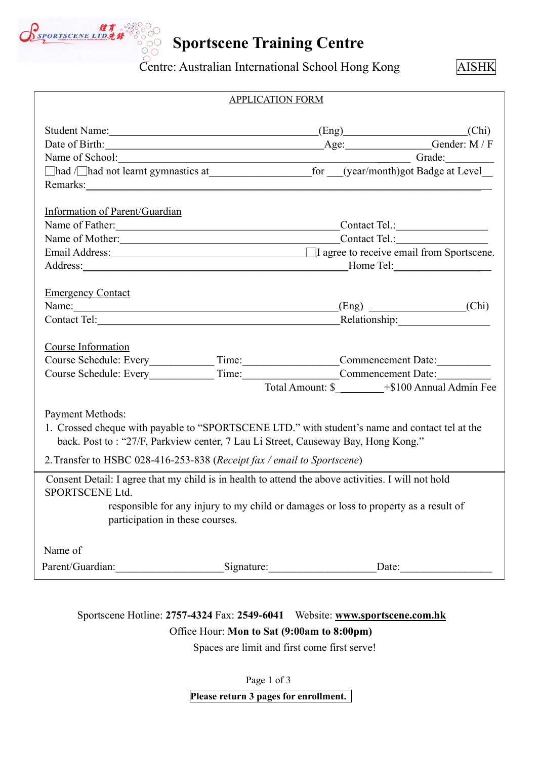

# Sportscene Training Centre

Centre: Australian International School Hong Kong AISHK

| <b>APPLICATION FORM</b>                                                                                                                                                                                                        |  |  |                                                  |  |
|--------------------------------------------------------------------------------------------------------------------------------------------------------------------------------------------------------------------------------|--|--|--------------------------------------------------|--|
| Student Name: (Chi) (Chi)                                                                                                                                                                                                      |  |  |                                                  |  |
|                                                                                                                                                                                                                                |  |  |                                                  |  |
|                                                                                                                                                                                                                                |  |  |                                                  |  |
|                                                                                                                                                                                                                                |  |  |                                                  |  |
| Remarks: Note and the set of the set of the set of the set of the set of the set of the set of the set of the set of the set of the set of the set of the set of the set of the set of the set of the set of the set of the se |  |  |                                                  |  |
|                                                                                                                                                                                                                                |  |  |                                                  |  |
| Information of Parent/Guardian                                                                                                                                                                                                 |  |  |                                                  |  |
| Name of Father: Contact Tel.: Contact Tel.:                                                                                                                                                                                    |  |  |                                                  |  |
|                                                                                                                                                                                                                                |  |  |                                                  |  |
|                                                                                                                                                                                                                                |  |  |                                                  |  |
|                                                                                                                                                                                                                                |  |  |                                                  |  |
|                                                                                                                                                                                                                                |  |  |                                                  |  |
| <b>Emergency Contact</b>                                                                                                                                                                                                       |  |  |                                                  |  |
| Name: (Eng) (Chi)                                                                                                                                                                                                              |  |  |                                                  |  |
|                                                                                                                                                                                                                                |  |  |                                                  |  |
|                                                                                                                                                                                                                                |  |  |                                                  |  |
| Course Information                                                                                                                                                                                                             |  |  |                                                  |  |
|                                                                                                                                                                                                                                |  |  |                                                  |  |
| Course Schedule: Every______________Time:____________________Commencement Date:____________________                                                                                                                            |  |  |                                                  |  |
|                                                                                                                                                                                                                                |  |  | Total Amount: \$ ________+\$100 Annual Admin Fee |  |
|                                                                                                                                                                                                                                |  |  |                                                  |  |
| Payment Methods:                                                                                                                                                                                                               |  |  |                                                  |  |
| 1. Crossed cheque with payable to "SPORTSCENE LTD." with student's name and contact tel at the                                                                                                                                 |  |  |                                                  |  |
| back. Post to: "27/F, Parkview center, 7 Lau Li Street, Causeway Bay, Hong Kong."                                                                                                                                              |  |  |                                                  |  |
| 2. Transfer to HSBC 028-416-253-838 (Receipt fax / email to Sportscene)                                                                                                                                                        |  |  |                                                  |  |
| Consent Detail: I agree that my child is in health to attend the above activities. I will not hold                                                                                                                             |  |  |                                                  |  |
| SPORTSCENE Ltd.                                                                                                                                                                                                                |  |  |                                                  |  |
| responsible for any injury to my child or damages or loss to property as a result of                                                                                                                                           |  |  |                                                  |  |
| participation in these courses.                                                                                                                                                                                                |  |  |                                                  |  |
|                                                                                                                                                                                                                                |  |  |                                                  |  |
| Name of                                                                                                                                                                                                                        |  |  |                                                  |  |
| Parent/Guardian: Signature: Date: Date:                                                                                                                                                                                        |  |  |                                                  |  |
|                                                                                                                                                                                                                                |  |  |                                                  |  |

# Sportscene Hotline: 2757-4324 Fax: 2549-6041 Website: www.sportscene.com.hk Office Hour: Mon to Sat (9:00am to 8:00pm)

Spaces are limit and first come first serve!

Page 1 of 3

Please return 3 pages for enrollment.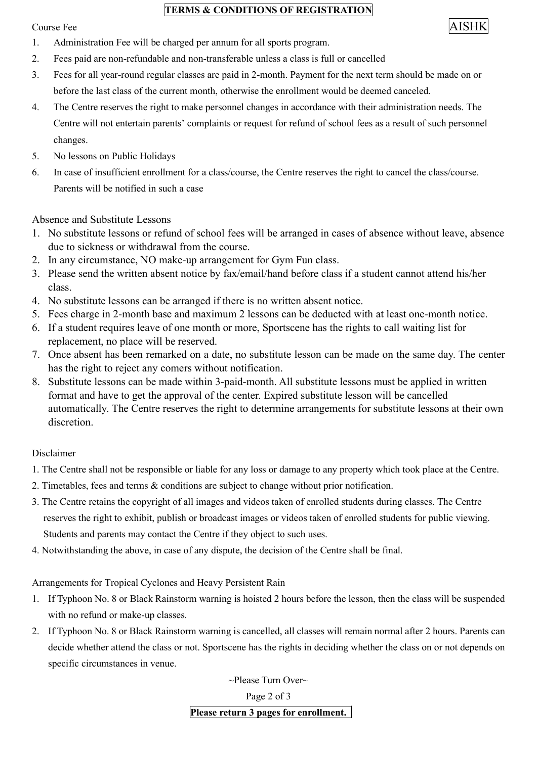### TERMS & CONDITIONS OF REGISTRATION

# $\alpha$  Course Fee  $\alpha$  AISHK

- 1. Administration Fee will be charged per annum for all sports program.
- 2. Fees paid are non-refundable and non-transferable unless a class is full or cancelled
- 3. Fees for all year-round regular classes are paid in 2-month. Payment for the next term should be made on or before the last class of the current month, otherwise the enrollment would be deemed canceled.
- 4. The Centre reserves the right to make personnel changes in accordance with their administration needs. The Centre will not entertain parents' complaints or request for refund of school fees as a result of such personnel changes.
- 5. No lessons on Public Holidays
- 6. In case of insufficient enrollment for a class/course, the Centre reserves the right to cancel the class/course. Parents will be notified in such a case

Absence and Substitute Lessons

- 1. No substitute lessons or refund of school fees will be arranged in cases of absence without leave, absence due to sickness or withdrawal from the course.
- 2. In any circumstance, NO make-up arrangement for Gym Fun class.
- 3. Please send the written absent notice by fax/email/hand before class if a student cannot attend his/her class.
- 4. No substitute lessons can be arranged if there is no written absent notice.
- 5. Fees charge in 2-month base and maximum 2 lessons can be deducted with at least one-month notice.
- 6. If a student requires leave of one month or more, Sportscene has the rights to call waiting list for replacement, no place will be reserved.
- 7. Once absent has been remarked on a date, no substitute lesson can be made on the same day. The center has the right to reject any comers without notification.
- 8. Substitute lessons can be made within 3-paid-month. All substitute lessons must be applied in written format and have to get the approval of the center. Expired substitute lesson will be cancelled automatically. The Centre reserves the right to determine arrangements for substitute lessons at their own discretion.

## Disclaimer

- 1. The Centre shall not be responsible or liable for any loss or damage to any property which took place at the Centre.
- 2. Timetables, fees and terms & conditions are subject to change without prior notification.
- 3. The Centre retains the copyright of all images and videos taken of enrolled students during classes. The Centre reserves the right to exhibit, publish or broadcast images or videos taken of enrolled students for public viewing. Students and parents may contact the Centre if they object to such uses.
- 4. Notwithstanding the above, in case of any dispute, the decision of the Centre shall be final.

Arrangements for Tropical Cyclones and Heavy Persistent Rain

- 1. If Typhoon No. 8 or Black Rainstorm warning is hoisted 2 hours before the lesson, then the class will be suspended with no refund or make-up classes.
- 2. If Typhoon No. 8 or Black Rainstorm warning is cancelled, all classes will remain normal after 2 hours. Parents can decide whether attend the class or not. Sportscene has the rights in deciding whether the class on or not depends on specific circumstances in venue.

~Please Turn Over~

Page 2 of 3

Please return 3 pages for enrollment.